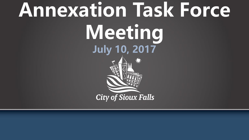# **Annexation Task Force Meeting July 10, 2017City of Sioux Falls**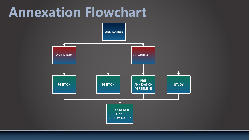# **Annexation Flowchart**

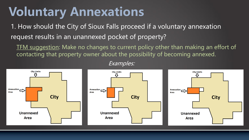#### **Voluntary Annexations**

1. How should the City of Sioux Falls proceed if a voluntary annexation request results in an unannexed pocket of property?

TFM suggestion: Make no changes to current policy other than making an effort of contacting that property owner about the possibility of becoming annexed.



Examples: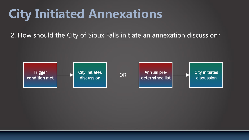## **City Initiated Annexations**

2. How should the City of Sioux Falls initiate an annexation discussion?

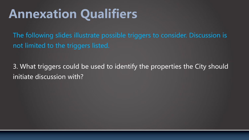# **Annexation Qualifiers**

The following slides illustrate possible triggers to consider. Discussion is not limited to the triggers listed.

3. What triggers could be used to identify the properties the City should initiate discussion with?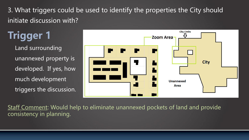Land surrounding unannexed property is developed. If yes, how much development triggers the discussion. **Trigger 1**



Staff Comment: Would help to eliminate unannexed pockets of land and provide consistency in planning.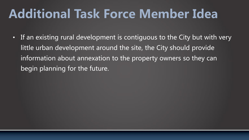#### **Additional Task Force Member Idea**

• If an existing rural development is contiguous to the City but with very little urban development around the site, the City should provide information about annexation to the property owners so they can begin planning for the future.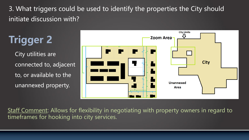City utilities are connected to, adjacent to, or available to the unannexed property. **Trigger 2**



Staff Comment: Allows for flexibility in negotiating with property owners in regard to timeframes for hooking into city services.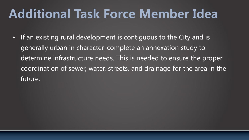#### **Additional Task Force Member Idea**

• If an existing rural development is contiguous to the City and is generally urban in character, complete an annexation study to determine infrastructure needs. This is needed to ensure the proper coordination of sewer, water, streets, and drainage for the area in the future.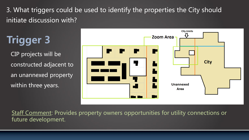CIP projects will be constructed adjacent to an unannexed property within three years. **Trigger 3**



Staff Comment: Provides property owners opportunities for utility connections or future development.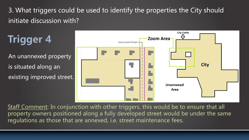An unannexed property is situated along an existing improved street. **Trigger 4**



Staff Comment: In conjunction with other triggers, this would be to ensure that all property owners positioned along a fully developed street would be under the same regulations as those that are annexed, i.e. street maintenance fees.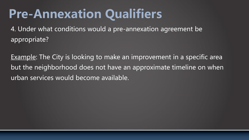## **Pre-Annexation Qualifiers**

4. Under what conditions would a pre-annexation agreement be appropriate?

Example: The City is looking to make an improvement in a specific area but the neighborhood does not have an approximate timeline on when urban services would become available.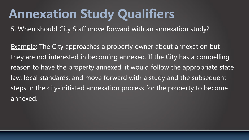# **Annexation Study Qualifiers**

5. When should City Staff move forward with an annexation study?

Example: The City approaches a property owner about annexation but they are not interested in becoming annexed. If the City has a compelling reason to have the property annexed, it would follow the appropriate state law, local standards, and move forward with a study and the subsequent steps in the city-initiated annexation process for the property to become annexed.